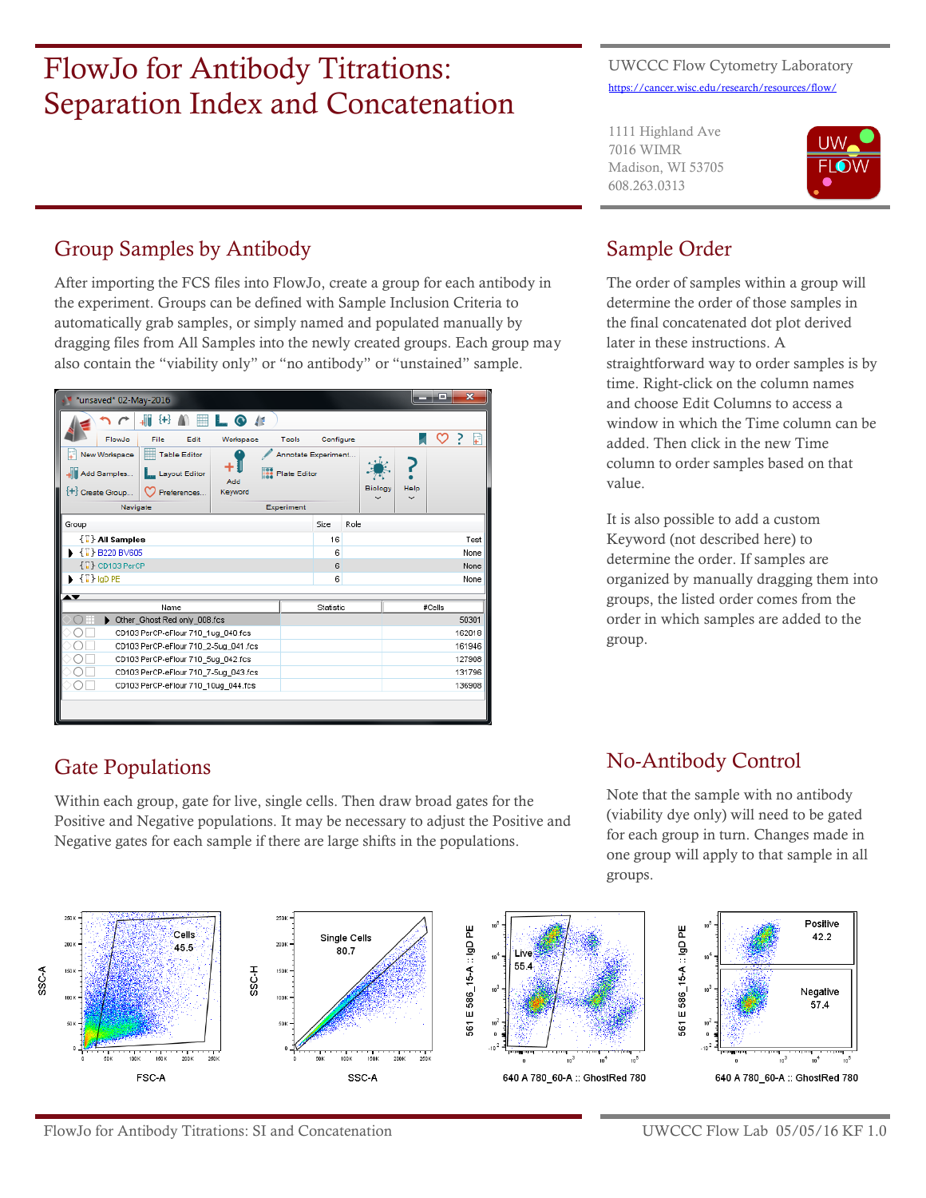# FlowJo for Antibody Titrations: Separation Index and Concatenation

#### UWCCC Flow Cytometry Laboratory <https://cancer.wisc.edu/research/resources/flow/>

1111 Highland Ave 7016 WIMR Madison, WI 53705 608.263.0313



# Group Samples by Antibody

After importing the FCS files into FlowJo, create a group for each antibody in the experiment. Groups can be defined with Sample Inclusion Criteria to automatically grab samples, or simply named and populated manually by dragging files from All Samples into the newly created groups. Each group may also contain the "viability only" or "no antibody" or "unstained" sample.

|                                           | *unsaved* 02-May-2016                |                              |                     |                         |  |                     |                     |      |                                |      | e      | $\overline{\mathbf{x}}$ |
|-------------------------------------------|--------------------------------------|------------------------------|---------------------|-------------------------|--|---------------------|---------------------|------|--------------------------------|------|--------|-------------------------|
|                                           |                                      | ł+                           |                     | $\bullet$ $\prime$      |  |                     |                     |      |                                |      |        |                         |
|                                           | FlowJo                               | File                         | Edit                | Workspace               |  | Tools               | Configure           |      |                                |      |        | ?<br>¥                  |
|                                           | New Workspace                        | ⊯                            | <b>Table Editor</b> |                         |  | Annotate Experiment |                     |      |                                |      |        |                         |
| ٠.<br>Add Samples<br>Layout Editor<br>Add |                                      |                              |                     | <b>199 Plate Editor</b> |  |                     |                     |      |                                |      |        |                         |
|                                           | <sup>+</sup> Create Group            |                              | Preferences         | Keyword                 |  |                     |                     |      | <b>Biology</b><br>$\checkmark$ | Help |        |                         |
|                                           | Navigate                             |                              |                     |                         |  | Experiment          |                     |      |                                |      |        |                         |
| Group                                     |                                      |                              |                     |                         |  |                     | Size                | Role |                                |      |        |                         |
|                                           | $\{\vec{u}\}$ All Samples            |                              |                     |                         |  |                     | 16                  |      |                                |      |        | Test                    |
|                                           | $\{\mathbb{T}\}$ B220 BV605          |                              |                     |                         |  |                     | 6                   |      |                                |      |        | None                    |
|                                           | $\{\mathbb{T}\}$ CD103 PerCP         |                              |                     |                         |  |                     | 6                   |      |                                |      |        | None                    |
| $\{\mathbb{T}\}$ igD PE                   |                                      |                              |                     |                         |  | 6                   |                     |      |                                |      | None   |                         |
|                                           |                                      |                              |                     |                         |  |                     |                     |      |                                |      |        |                         |
|                                           |                                      | Name                         |                     |                         |  |                     | Statistic<br>#Cells |      |                                |      |        |                         |
|                                           |                                      | Other_Ghost Red only_008.fcs |                     |                         |  |                     |                     |      |                                |      |        | 50301                   |
| CD103 PerCP-eFlour 710 1ug 040.fcs        |                                      |                              |                     |                         |  |                     |                     |      |                                |      | 162018 |                         |
| CD103 PerCP-eFlour 710 2-5ug 041 fcs      |                                      |                              |                     |                         |  |                     |                     |      |                                |      | 161946 |                         |
| CD103 PerCP-eFlour 710 5ug 042.fcs        |                                      |                              |                     |                         |  |                     |                     |      |                                |      | 127908 |                         |
|                                           | CD103 PerCP-eFlour 710_7-5ug_043.fcs |                              |                     |                         |  |                     |                     |      |                                |      |        | 131796                  |
| CD103 PerCP-eFlour 710_10ug_044.fcs       |                                      |                              |                     |                         |  |                     |                     |      |                                |      | 136908 |                         |
|                                           |                                      |                              |                     |                         |  |                     |                     |      |                                |      |        |                         |

# Sample Order

The order of samples within a group will determine the order of those samples in the final concatenated dot plot derived later in these instructions. A straightforward way to order samples is by time. Right-click on the column names and choose Edit Columns to access a window in which the Time column can be added. Then click in the new Time column to order samples based on that value.

It is also possible to add a custom Keyword (not described here) to determine the order. If samples are organized by manually dragging them into groups, the listed order comes from the order in which samples are added to the group.

# Gate Populations

Within each group, gate for live, single cells. Then draw broad gates for the Positive and Negative populations. It may be necessary to adjust the Positive and Negative gates for each sample if there are large shifts in the populations.

# No-Antibody Control

Note that the sample with no antibody (viability dye only) will need to be gated for each group in turn. Changes made in one group will apply to that sample in all groups.

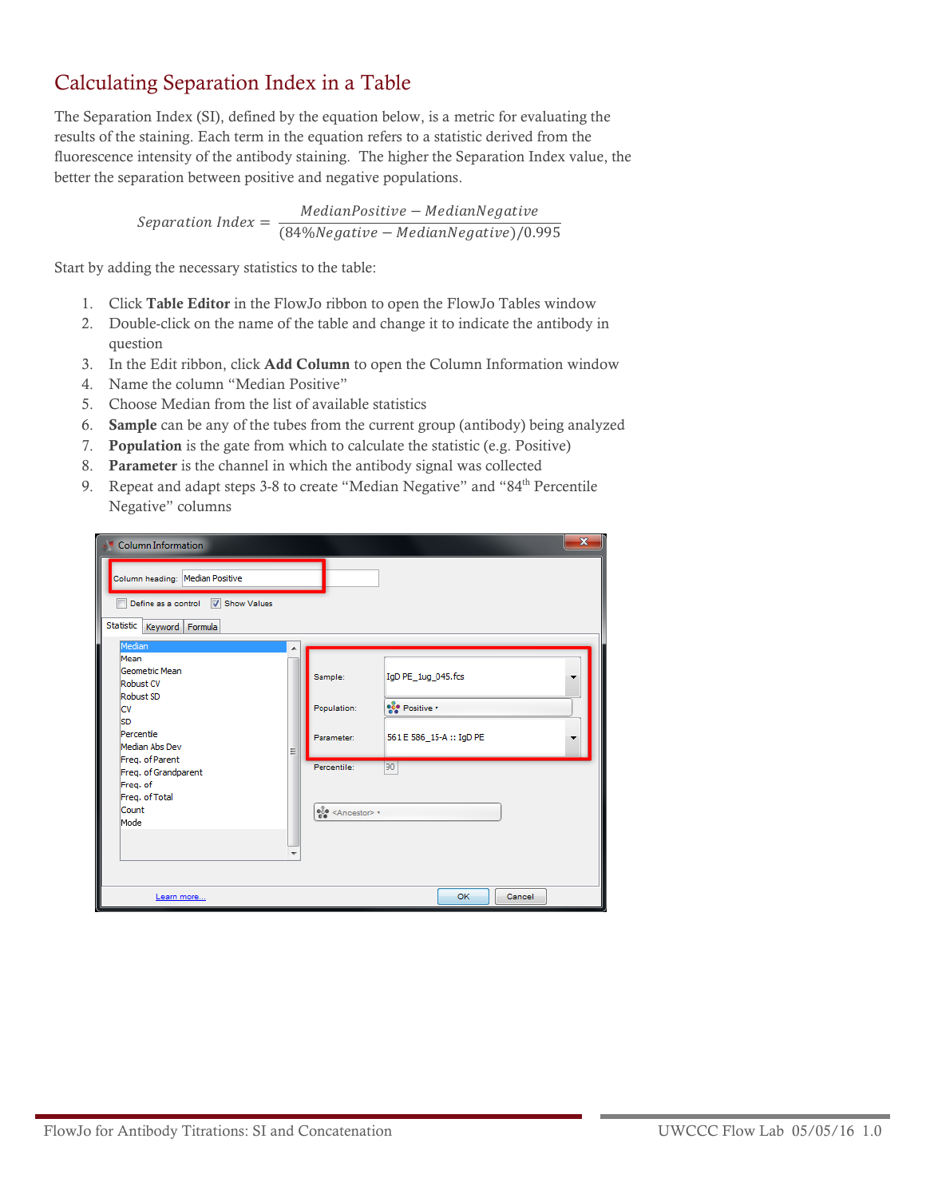### Calculating Separation Index in a Table

The Separation Index (SI), defined by the equation below, is a metric for evaluating the results of the staining. Each term in the equation refers to a statistic derived from the fluorescence intensity of the antibody staining. The higher the Separation Index value, the better the separation between positive and negative populations.

> $Separation Index = \frac{MedianPositive-MedianNegative}{(0.406 \text{ N} - 0.406 \text{ N} - 0.406 \text{ N} - 0.406 \text{ N} - 0.406 \text{ N} - 0.406 \text{ N} - 0.406 \text{ N} - 0.406 \text{ N} - 0.406 \text{ N} - 0.406 \text{ N} - 0.406 \text{ N} - 0.406 \text{ N} - 0.406 \text{ N} - 0.406 \text{ N} - 0.406 \text{ N} - 0.406 \text{ N} - 0.406 \text{ N} - 0.$  $(84% Negative - Median Negative)/0.995$

Start by adding the necessary statistics to the table:

- 1. Click **Table Editor** in the FlowJo ribbon to open the FlowJo Tables window
- 2. Double-click on the name of the table and change it to indicate the antibody in question
- 3. In the Edit ribbon, click **Add Column** to open the Column Information window
- 4. Name the column "Median Positive"
- 5. Choose Median from the list of available statistics
- 6. **Sample** can be any of the tubes from the current group (antibody) being analyzed
- 7. **Population** is the gate from which to calculate the statistic (e.g. Positive)
- 8. **Parameter** is the channel in which the antibody signal was collected
- 9. Repeat and adapt steps 3-8 to create "Median Negative" and "84<sup>th</sup> Percentile Negative" columns

| <b>Column Information</b>                                                                                                                                                                                |   |                                                                                                                      |                                                                      | $\mathbf{x}$ |
|----------------------------------------------------------------------------------------------------------------------------------------------------------------------------------------------------------|---|----------------------------------------------------------------------------------------------------------------------|----------------------------------------------------------------------|--------------|
| Column heading: Median Positive<br>Define as a control V Show Values<br>Statistic  <br>Keyword Formula                                                                                                   |   |                                                                                                                      |                                                                      |              |
| Median<br>Mean<br>Geometric Mean<br>Robust CV<br>Robust SD<br>lcv<br><b>SD</b><br>Percentile<br>Median Abs Dev<br>Freq. of Parent<br>Freq. of Grandparent<br>Freq. of<br>Freq. of Total<br>Count<br>Mode | Ξ | Sample:<br>Population:<br>Parameter:<br>Percentile:<br>$\frac{1}{60}$ <ancestor> <math>\rightarrow</math></ancestor> | IgD PE_1ug_045.fcs<br>eco Positive<br>561 E 586_15-A :: IgD PE<br>90 |              |
| Learn more                                                                                                                                                                                               |   |                                                                                                                      | <b>OK</b><br>Cancel                                                  |              |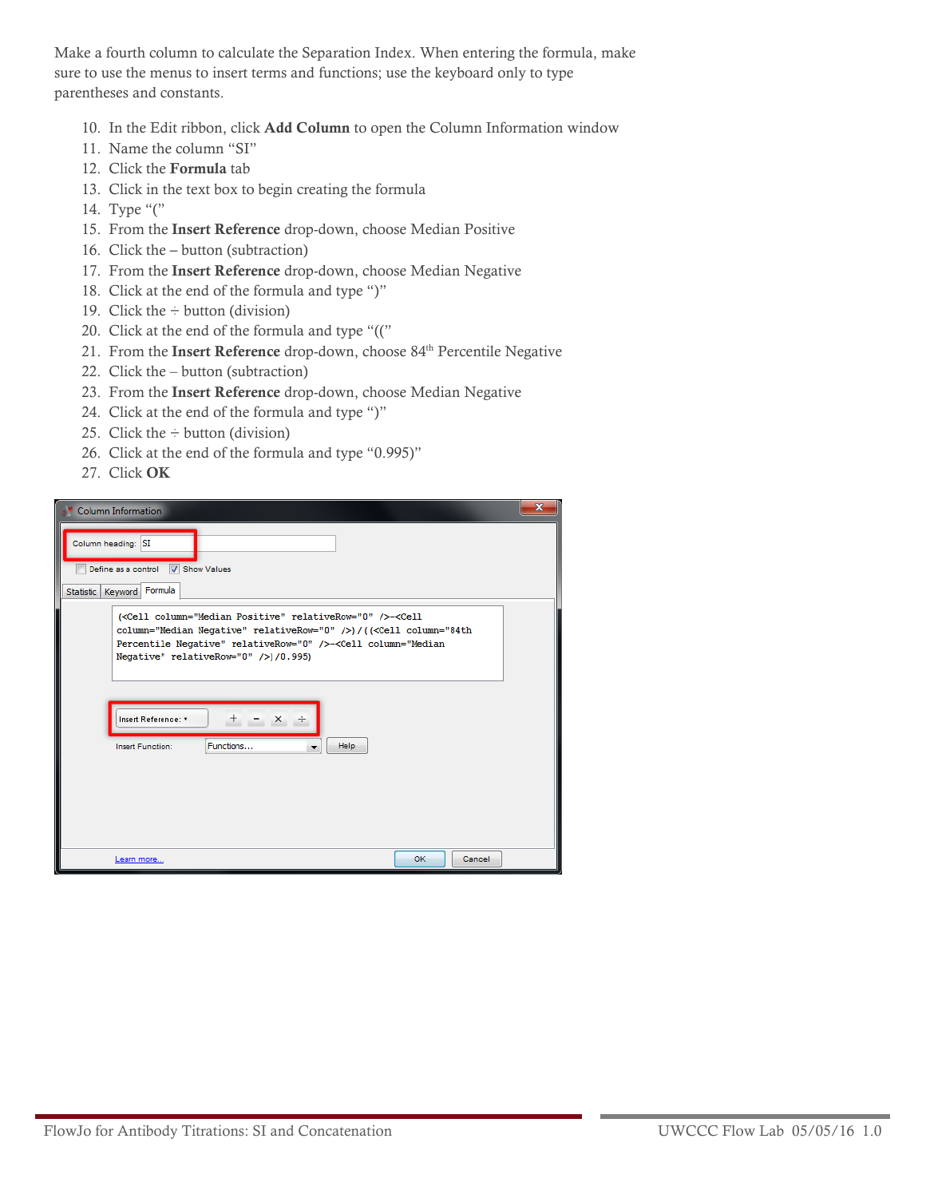Make a fourth column to calculate the Separation Index. When entering the formula, make sure to use the menus to insert terms and functions; use the keyboard only to type parentheses and constants.

- 10. In the Edit ribbon, click **Add Column** to open the Column Information window
- 11. Name the column "SI"
- 12. Click the **Formula** tab
- 13. Click in the text box to begin creating the formula
- 14. Type "("
- 15. From the **Insert Reference** drop-down, choose Median Positive
- 16. Click the **–** button (subtraction)
- 17. From the **Insert Reference** drop-down, choose Median Negative
- 18. Click at the end of the formula and type ")"
- 19. Click the  $\div$  button (division)
- 20. Click at the end of the formula and type "(("
- 21. From the **Insert Reference** drop-down, choose 84<sup>th</sup> Percentile Negative
- 22. Click the button (subtraction)
- 23. From the **Insert Reference** drop-down, choose Median Negative
- 24. Click at the end of the formula and type ")"
- 25. Click the  $\div$  button (division)
- 26. Click at the end of the formula and type "0.995)"
- 27. Click **OK**

| <b>Column Information</b>                                                                                                                                                                                                                                                         | $\mathbf x$ |
|-----------------------------------------------------------------------------------------------------------------------------------------------------------------------------------------------------------------------------------------------------------------------------------|-------------|
| Column heading: SI                                                                                                                                                                                                                                                                |             |
| Define as a control V Show Values                                                                                                                                                                                                                                                 |             |
| Statistic   Keyword   Formula                                                                                                                                                                                                                                                     |             |
| ( <cell column="Median Positive" relativerow="0"></cell> - <cell<br>column="Median Negative" relativeRow="0" /&gt;) / (<cell column="84th&lt;br&gt;Percentile Negative" relativerow="0"></cell>-<cell column="Median&lt;br&gt;Negative" relativerow="0"></cell>)/0.995)</cell<br> |             |
| Insert Reference: v<br>$+$ - $\times$ +<br>Functions<br>Help<br><b>Insert Function:</b><br>▼                                                                                                                                                                                      |             |
| OK<br>Cancel<br>Learn more                                                                                                                                                                                                                                                        |             |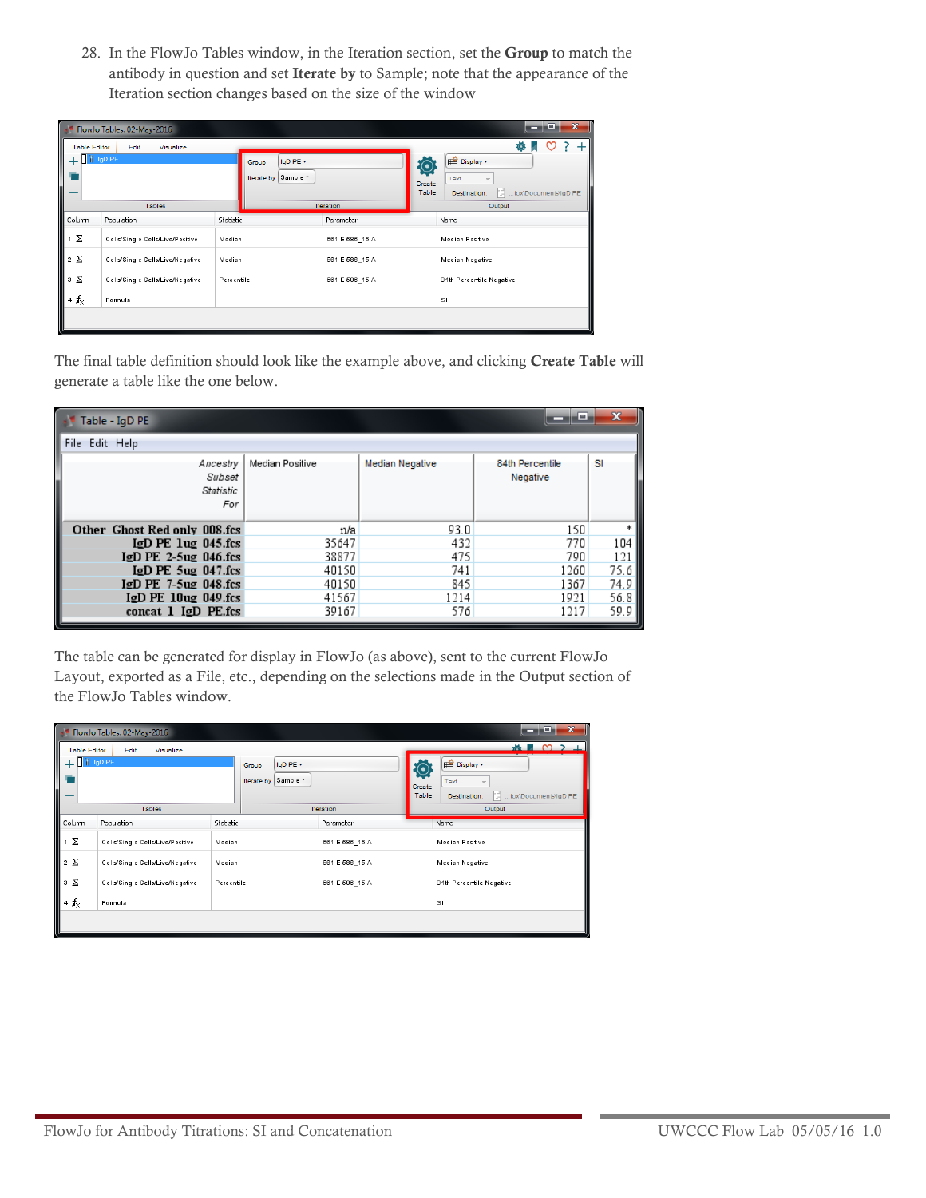28. In the FlowJo Tables window, in the Iteration section, set the **Group** to match the antibody in question and set **Iterate by** to Sample; note that the appearance of the Iteration section changes based on the size of the window

|                                               | ×<br>H E<br>-<br>FlowJo Tables: 02-May-2016   |            |                        |                |             |                                             |  |  |  |
|-----------------------------------------------|-----------------------------------------------|------------|------------------------|----------------|-------------|---------------------------------------------|--|--|--|
|                                               | O<br><b>Table Editor</b><br>Edit<br>Visualize |            |                        |                |             |                                             |  |  |  |
| I i IgD PE                                    |                                               |            | IgD PE +<br>Group      |                | $\rm \odot$ | Display *                                   |  |  |  |
|                                               |                                               |            | Sample *<br>Iterate by |                | Create      | Text                                        |  |  |  |
|                                               |                                               |            |                        |                | Table       | 'Fl<br>fox\Documents\IgD PE<br>Destination: |  |  |  |
| <b>Tables</b>                                 |                                               |            | <b>Iteration</b>       |                | Output      |                                             |  |  |  |
| Column                                        | Population                                    | Statistic  |                        | Parameter      | Name        |                                             |  |  |  |
| 1 Σ<br>Cells/Single Cells/Live/Positive       |                                               | Median     |                        | 561 E 586_15-A |             | <b>Median Positive</b>                      |  |  |  |
| $2\Sigma$<br>Cells/Single Cells/Live/Negative |                                               | Median     |                        | 561 E 586_15-A |             | Median Negative                             |  |  |  |
| зΣ                                            | Cells/Single Cells/Live/Negative              | Percentile |                        | 561 E 586_15-A |             | 84th Percentile Negative                    |  |  |  |
| $4f_{\times}$                                 | Formula                                       |            |                        |                |             | sı                                          |  |  |  |
|                                               |                                               |            |                        |                |             |                                             |  |  |  |

The final table definition should look like the example above, and clicking **Create Table** will generate a table like the one below.

| Table - IgD PE                         |                 |                 | ١m                          | x    |
|----------------------------------------|-----------------|-----------------|-----------------------------|------|
| File Edit Help                         |                 |                 |                             |      |
| Ancestry<br>Subset<br>Statistic<br>For | Median Positive | Median Negative | 84th Percentile<br>Negative | SI   |
| Other Ghost Red only 008.fcs           | n/a             | 93.0            | 150                         |      |
| $I/D$ PE $I$ ug 045.fcs                | 35647           | 432             | 770                         | 104  |
| $I/D$ PE 2-5 $u$ g 046.fcs             | 38877           | 475             | 790                         | 121  |
| $I/D$ PE $5uq$ 047.fcs                 | 40150           | 741             | 1260                        | 75.6 |
| $IgD$ PE 7-5 $uq$ 048.fcs              | 40150           | 845             | 1367                        | 74.9 |
| $I/D$ PE $10u$ g 049.fcs               | 41567           | 1214            | 1921                        | 56.8 |
| concat $1$ IgD PE.fcs                  | 39167           | 576             | 1217                        | 59.9 |

The table can be generated for display in FlowJo (as above), sent to the current FlowJo Layout, exported as a File, etc., depending on the selections made in the Output section of the FlowJo Tables window.

|                                                       | ×<br>E<br>-<br>FlowJo Tables: 02-May-2016 |        |                                             |  |                                             |                                                                 |                          |  |  |
|-------------------------------------------------------|-------------------------------------------|--------|---------------------------------------------|--|---------------------------------------------|-----------------------------------------------------------------|--------------------------|--|--|
| <b>Table Editor</b>                                   | Visualize<br>Edit                         |        |                                             |  |                                             |                                                                 |                          |  |  |
| $+$ $\blacksquare$ $\blacksquare$ $\blacksquare$<br>- |                                           |        | IgD PE +<br>Group<br>Sample v<br>Iterate by |  | $\left( \bullet \right)$<br>Create<br>Table | Display *<br>Text<br>T.<br>fox\Documents\IgD PE<br>Destination: |                          |  |  |
|                                                       | <b>Tables</b>                             |        |                                             |  | <b>Iteration</b>                            | Output                                                          |                          |  |  |
| Column                                                | Population<br>Statistic                   |        |                                             |  | Parameter                                   |                                                                 | Name                     |  |  |
| $1 \sum$<br>Cells/Single Cells/Live/Positive          |                                           | Median |                                             |  | 561 E 586_15-A                              |                                                                 | <b>Median Positive</b>   |  |  |
| $2\Sigma$<br>Cells/Single Cells/Live/Negative         |                                           |        | Median                                      |  | 561 E 586_15-A                              |                                                                 | <b>Median Negative</b>   |  |  |
| $3 \sum$<br>Cells/Single Cells/Live/Negative          |                                           |        | Percentile                                  |  | 561 E 586_15-A                              |                                                                 | 84th Percentile Negative |  |  |
| $4f_{\times}$<br>Formula                              |                                           |        |                                             |  |                                             |                                                                 | sı                       |  |  |
|                                                       |                                           |        |                                             |  |                                             |                                                                 |                          |  |  |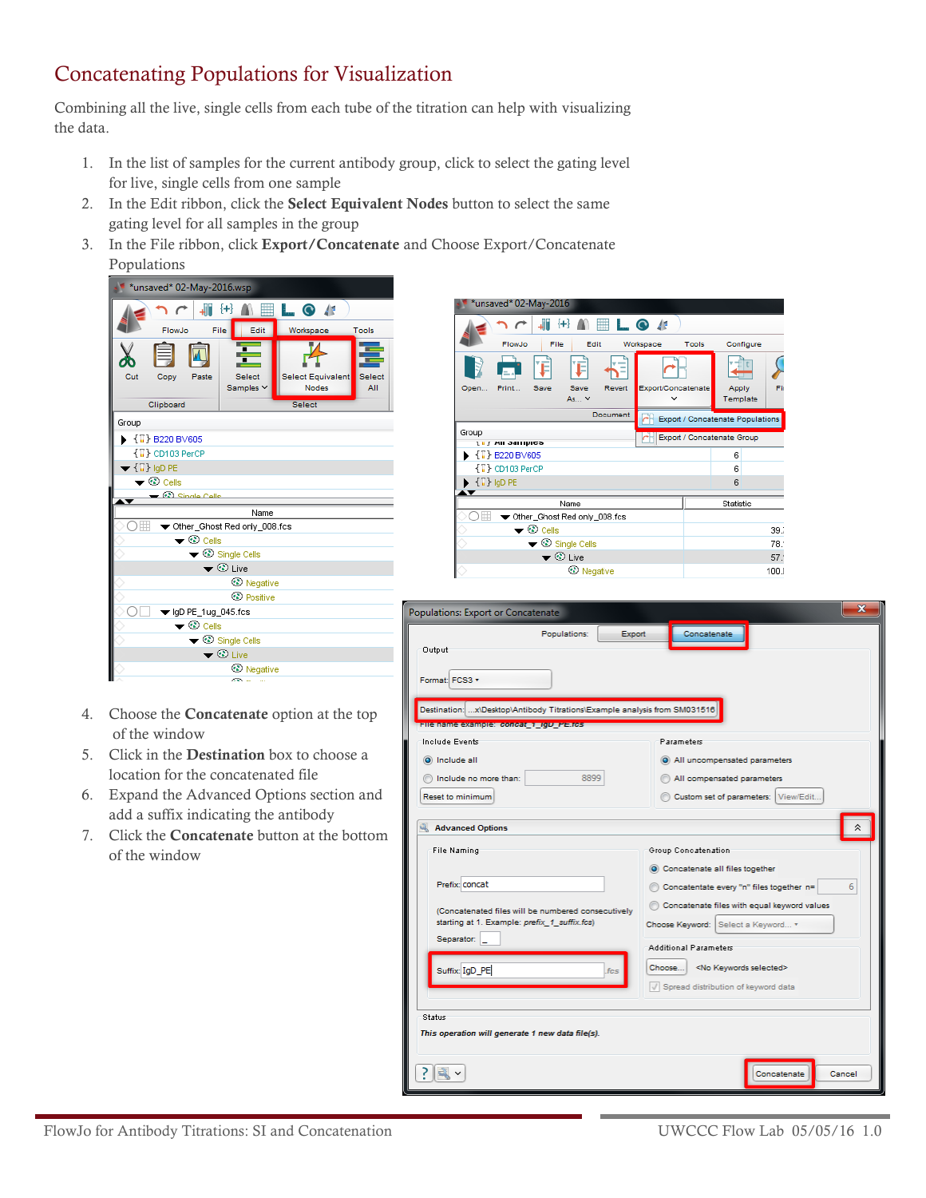## Concatenating Populations for Visualization

Combining all the live, single cells from each tube of the titration can help with visualizing the data.

- 1. In the list of samples for the current antibody group, click to select the gating level for live, single cells from one sample
- 2. In the Edit ribbon, click the **Select Equivalent Nodes** button to select the same gating level for all samples in the group
- 3. In the File ribbon, click **Export/Concatenate** and Choose Export/Concatenate Populations